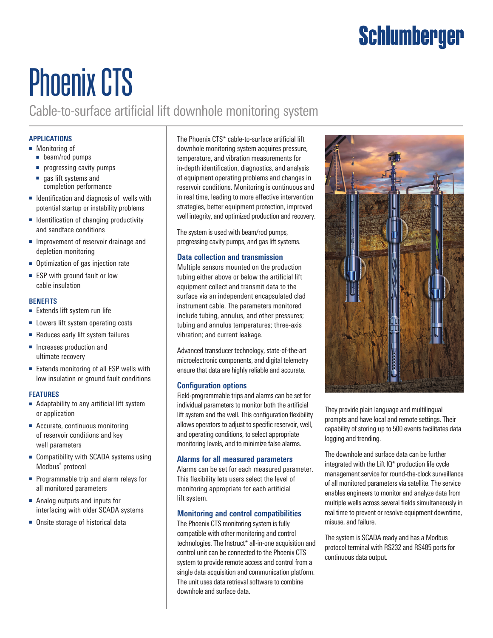### Schlumberger

# Phoenix CTS

Cable-to-surface artificial lift downhole monitoring system

#### **APPLICATIONS**

- Monitoring of
	- beam/rod pumps
	- progressing cavity pumps
	- gas lift systems and completion performance
- Identification and diagnosis of wells with potential startup or instability problems
- Identification of changing productivity and sandface conditions
- Improvement of reservoir drainage and depletion monitoring
- Optimization of gas injection rate
- ESP with ground fault or low cable insulation

#### **BENEFITS**

- Extends lift system run life
- Lowers lift system operating costs
- Reduces early lift system failures
- Increases production and ultimate recovery
- Extends monitoring of all ESP wells with low insulation or ground fault conditions

#### **FEATURES**

- Adaptability to any artificial lift system or application
- Accurate, continuous monitoring of reservoir conditions and key well parameters
- Compatibility with SCADA systems using Modbus® protocol
- Programmable trip and alarm relays for all monitored parameters
- Analog outputs and inputs for interfacing with older SCADA systems
- Onsite storage of historical data

The Phoenix CTS\* cable-to-surface artificial lift downhole monitoring system acquires pressure, temperature, and vibration measurements for in-depth identification, diagnostics, and analysis of equipment operating problems and changes in reservoir conditions. Monitoring is continuous and in real time, leading to more effective intervention strategies, better equipment protection, improved well integrity, and optimized production and recovery.

The system is used with beam/rod pumps, progressing cavity pumps, and gas lift systems.

#### **Data collection and transmission**

Multiple sensors mounted on the production tubing either above or below the artificial lift equipment collect and transmit data to the surface via an independent encapsulated clad instrument cable. The parameters monitored include tubing, annulus, and other pressures; tubing and annulus temperatures; three-axis vibration; and current leakage.

Advanced transducer technology, state-of-the-art microelectronic components, and digital telemetry ensure that data are highly reliable and accurate.

#### **Configuration options**

Field-programmable trips and alarms can be set for individual parameters to monitor both the artificial lift system and the well. This configuration flexibility allows operators to adjust to specific reservoir, well, and operating conditions, to select appropriate monitoring levels, and to minimize false alarms.

#### **Alarms for all measured parameters**

Alarms can be set for each measured parameter. This flexibility lets users select the level of monitoring appropriate for each artificial lift system.

#### **Monitoring and control compatibilities**

The Phoenix CTS monitoring system is fully compatible with other monitoring and control technologies. The Instruct<sup>\*</sup> all-in-one acquisition and control unit can be connected to the Phoenix CTS system to provide remote access and control from a single data acquisition and communication platform. The unit uses data retrieval software to combine downhole and surface data.



They provide plain language and multilingual prompts and have local and remote settings. Their capability of storing up to 500 events facilitates data logging and trending.

The downhole and surface data can be further integrated with the Lift IQ\* production life cycle management service for round-the-clock surveillance of all monitored parameters via satellite. The service enables engineers to monitor and analyze data from multiple wells across several fields simultaneously in real time to prevent or resolve equipment downtime, misuse, and failure.

The system is SCADA ready and has a Modbus protocol terminal with RS232 and RS485 ports for continuous data output.